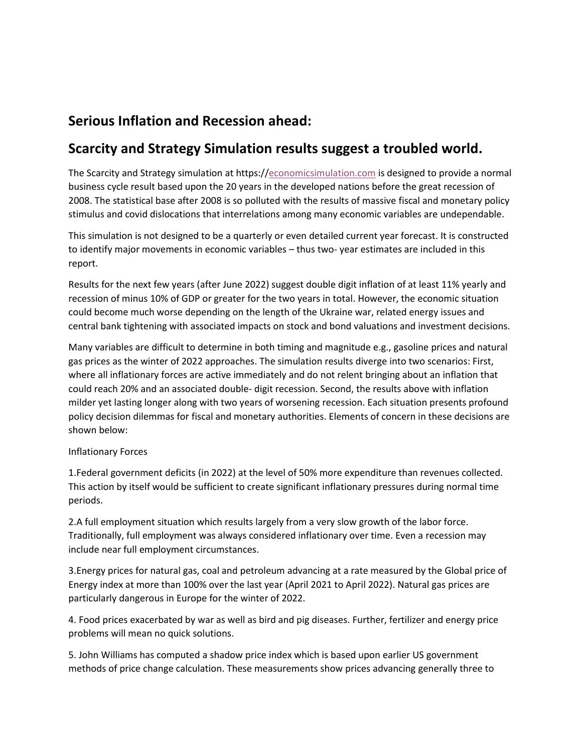# **Serious Inflation and Recession ahead:**

## **Scarcity and Strategy Simulation results suggest a troubled world.**

The Scarcity and Strategy simulation at https:/[/economicsimulation.com](https://economicsimulation.com/) is designed to provide a normal business cycle result based upon the 20 years in the developed nations before the great recession of 2008. The statistical base after 2008 is so polluted with the results of massive fiscal and monetary policy stimulus and covid dislocations that interrelations among many economic variables are undependable.

This simulation is not designed to be a quarterly or even detailed current year forecast. It is constructed to identify major movements in economic variables – thus two- year estimates are included in this report.

Results for the next few years (after June 2022) suggest double digit inflation of at least 11% yearly and recession of minus 10% of GDP or greater for the two years in total. However, the economic situation could become much worse depending on the length of the Ukraine war, related energy issues and central bank tightening with associated impacts on stock and bond valuations and investment decisions.

Many variables are difficult to determine in both timing and magnitude e.g., gasoline prices and natural gas prices as the winter of 2022 approaches. The simulation results diverge into two scenarios: First, where all inflationary forces are active immediately and do not relent bringing about an inflation that could reach 20% and an associated double- digit recession. Second, the results above with inflation milder yet lasting longer along with two years of worsening recession. Each situation presents profound policy decision dilemmas for fiscal and monetary authorities. Elements of concern in these decisions are shown below:

### Inflationary Forces

1.Federal government deficits (in 2022) at the level of 50% more expenditure than revenues collected. This action by itself would be sufficient to create significant inflationary pressures during normal time periods.

2.A full employment situation which results largely from a very slow growth of the labor force. Traditionally, full employment was always considered inflationary over time. Even a recession may include near full employment circumstances.

3.Energy prices for natural gas, coal and petroleum advancing at a rate measured by the Global price of Energy index at more than 100% over the last year (April 2021 to April 2022). Natural gas prices are particularly dangerous in Europe for the winter of 2022.

4. Food prices exacerbated by war as well as bird and pig diseases. Further, fertilizer and energy price problems will mean no quick solutions.

5. John Williams has computed a shadow price index which is based upon earlier US government methods of price change calculation. These measurements show prices advancing generally three to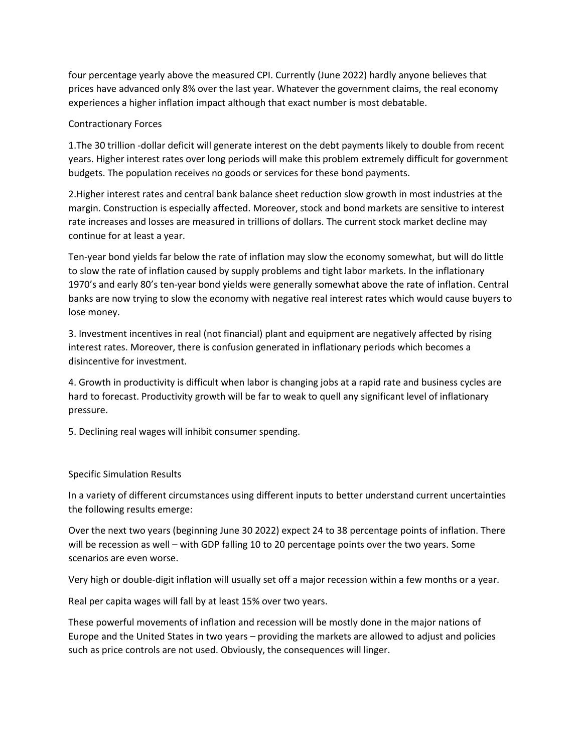four percentage yearly above the measured CPI. Currently (June 2022) hardly anyone believes that prices have advanced only 8% over the last year. Whatever the government claims, the real economy experiences a higher inflation impact although that exact number is most debatable.

#### Contractionary Forces

1.The 30 trillion -dollar deficit will generate interest on the debt payments likely to double from recent years. Higher interest rates over long periods will make this problem extremely difficult for government budgets. The population receives no goods or services for these bond payments.

2.Higher interest rates and central bank balance sheet reduction slow growth in most industries at the margin. Construction is especially affected. Moreover, stock and bond markets are sensitive to interest rate increases and losses are measured in trillions of dollars. The current stock market decline may continue for at least a year.

Ten-year bond yields far below the rate of inflation may slow the economy somewhat, but will do little to slow the rate of inflation caused by supply problems and tight labor markets. In the inflationary 1970's and early 80's ten-year bond yields were generally somewhat above the rate of inflation. Central banks are now trying to slow the economy with negative real interest rates which would cause buyers to lose money.

3. Investment incentives in real (not financial) plant and equipment are negatively affected by rising interest rates. Moreover, there is confusion generated in inflationary periods which becomes a disincentive for investment.

4. Growth in productivity is difficult when labor is changing jobs at a rapid rate and business cycles are hard to forecast. Productivity growth will be far to weak to quell any significant level of inflationary pressure.

5. Declining real wages will inhibit consumer spending.

#### Specific Simulation Results

In a variety of different circumstances using different inputs to better understand current uncertainties the following results emerge:

Over the next two years (beginning June 30 2022) expect 24 to 38 percentage points of inflation. There will be recession as well – with GDP falling 10 to 20 percentage points over the two years. Some scenarios are even worse.

Very high or double-digit inflation will usually set off a major recession within a few months or a year.

Real per capita wages will fall by at least 15% over two years.

These powerful movements of inflation and recession will be mostly done in the major nations of Europe and the United States in two years – providing the markets are allowed to adjust and policies such as price controls are not used. Obviously, the consequences will linger.